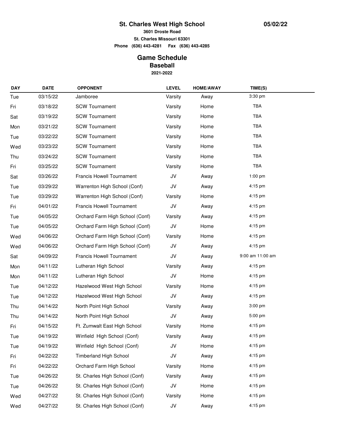## **St. Charles West High School**

**3601 Droste Road**

**St. Charles Missouri 63301**

**Phone (636) 443-4281 Fax (636) 443-4285**

## **Game Schedule Baseball**

**2021-2022**

| <b>DAY</b> | <b>DATE</b> | <b>OPPONENT</b>                  | <b>LEVEL</b> | <b>HOME/AWAY</b> | TIME(S)          |  |
|------------|-------------|----------------------------------|--------------|------------------|------------------|--|
| Tue        | 03/15/22    | Jamboree                         | Varsity      | Away             | 3:30 pm          |  |
| Fri        | 03/18/22    | <b>SCW Tournament</b>            | Varsity      | Home             | TBA              |  |
| Sat        | 03/19/22    | <b>SCW Tournament</b>            | Varsity      | Home             | TBA              |  |
| Mon        | 03/21/22    | <b>SCW Tournament</b>            | Varsity      | Home             | TBA              |  |
| Tue        | 03/22/22    | <b>SCW Tournament</b>            | Varsity      | Home             | TBA              |  |
| Wed        | 03/23/22    | <b>SCW Tournament</b>            | Varsity      | Home             | TBA              |  |
| Thu        | 03/24/22    | <b>SCW Tournament</b>            | Varsity      | Home             | TBA              |  |
| Fri        | 03/25/22    | <b>SCW Tournament</b>            | Varsity      | Home             | TBA              |  |
| Sat        | 03/26/22    | Francis Howell Tournament        | JV           | Away             | $1:00$ pm        |  |
| Tue        | 03/29/22    | Warrenton High School (Conf)     | JV           | Away             | 4:15 pm          |  |
| Tue        | 03/29/22    | Warrenton High School (Conf)     | Varsity      | Home             | 4:15 pm          |  |
| Fri        | 04/01/22    | Francis Howell Tournament        | JV           | Away             | 4:15 pm          |  |
| Tue        | 04/05/22    | Orchard Farm High School (Conf)  | Varsity      | Away             | 4:15 pm          |  |
| Tue        | 04/05/22    | Orchard Farm High School (Conf)  | JV           | Home             | 4:15 pm          |  |
| Wed        | 04/06/22    | Orchard Farm High School (Conf)  | Varsity      | Home             | 4:15 pm          |  |
| Wed        | 04/06/22    | Orchard Farm High School (Conf)  | JV           | Away             | 4:15 pm          |  |
| Sat        | 04/09/22    | <b>Francis Howell Tournament</b> | JV           | Away             | 9:00 am 11:00 am |  |
| Mon        | 04/11/22    | Lutheran High School             | Varsity      | Away             | 4:15 pm          |  |
| Mon        | 04/11/22    | Lutheran High School             | JV           | Home             | 4:15 pm          |  |
| Tue        | 04/12/22    | Hazelwood West High School       | Varsity      | Home             | 4:15 pm          |  |
| Tue        | 04/12/22    | Hazelwood West High School       | JV           | Away             | 4:15 pm          |  |
| Thu        | 04/14/22    | North Point High School          | Varsity      | Away             | 3:00 pm          |  |
| Thu        | 04/14/22    | North Point High School          | JV           | Away             | $5:00$ pm        |  |
| Fri        | 04/15/22    | Ft. Zumwalt East High School     | Varsity      | Home             | 4:15 pm          |  |
| Tue        | 04/19/22    | Winfield High School (Conf)      | Varsity      | Away             | 4:15 pm          |  |
| Tue        | 04/19/22    | Winfield High School (Conf)      | JV           | Home             | 4:15 pm          |  |
| Fri        | 04/22/22    | <b>Timberland High School</b>    | JV           | Away             | 4:15 pm          |  |
| Fri        | 04/22/22    | Orchard Farm High School         | Varsity      | Home             | 4:15 pm          |  |
| Tue        | 04/26/22    | St. Charles High School (Conf)   | Varsity      | Away             | 4:15 pm          |  |
| Tue        | 04/26/22    | St. Charles High School (Conf)   | JV           | Home             | 4:15 pm          |  |
| Wed        | 04/27/22    | St. Charles High School (Conf)   | Varsity      | Home             | 4:15 pm          |  |
| Wed        | 04/27/22    | St. Charles High School (Conf)   | JV           | Away             | 4:15 pm          |  |